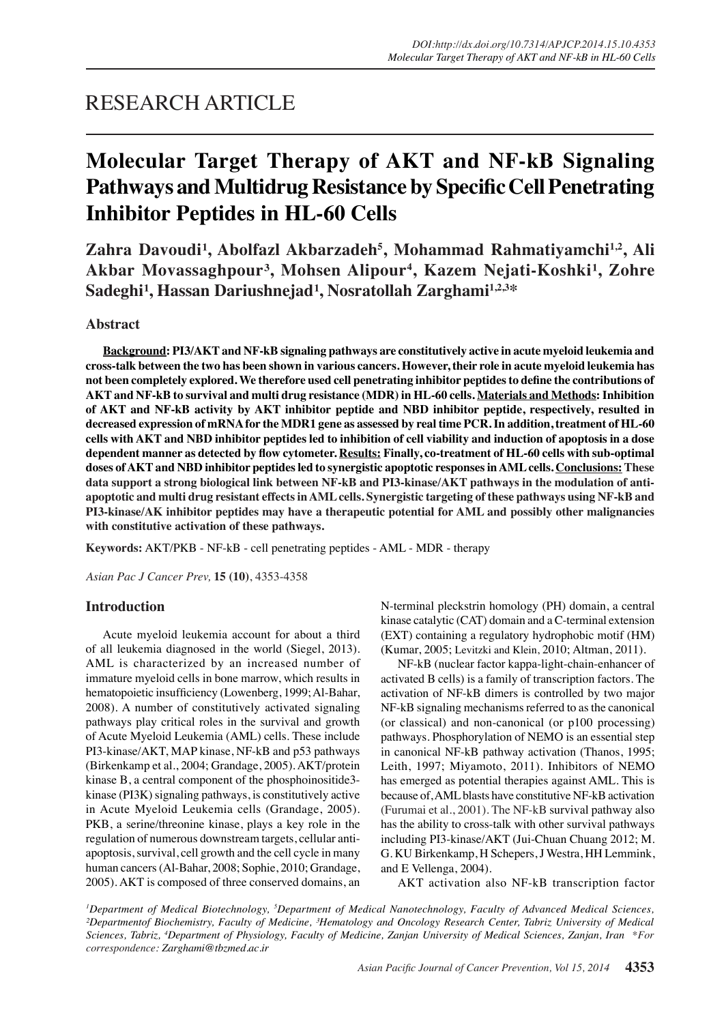## RESEARCH ARTICLE

# **Molecular Target Therapy of AKT and NF-kB Signaling Pathways and Multidrug Resistance by Specific Cell Penetrating Inhibitor Peptides in HL-60 Cells**

Zahra Davoudi<sup>1</sup>, Abolfazl Akbarzadeh<sup>5</sup>, Mohammad Rahmatiyamchi<sup>1,2</sup>, Ali Akbar Movassaghpour<sup>3</sup>, Mohsen Alipour<sup>4</sup>, Kazem Nejati-Koshki<sup>1</sup>, Zohre Sadeghi<sup>1</sup>, Hassan Dariushnejad<sup>1</sup>, Nosratollah Zarghami<sup>1,2,3</sup>\*

## **Abstract**

**Background: PI3/AKT and NF-kB signaling pathways are constitutively active in acute myeloid leukemia and cross-talk between the two has been shown in various cancers. However, their role in acute myeloid leukemia has not been completely explored. We therefore used cell penetrating inhibitor peptides to define the contributions of AKT and NF-kB to survival and multi drug resistance (MDR) in HL-60 cells. Materials and Methods: Inhibition of AKT and NF-kB activity by AKT inhibitor peptide and NBD inhibitor peptide, respectively, resulted in decreased expression of mRNA for the MDR1 gene as assessed by real time PCR. In addition, treatment of HL-60 cells with AKT and NBD inhibitor peptides led to inhibition of cell viability and induction of apoptosis in a dose dependent manner as detected by flow cytometer. Results: Finally, co-treatment of HL-60 cells with sub-optimal doses of AKT and NBD inhibitor peptides led to synergistic apoptotic responses in AML cells. Conclusions: These data support a strong biological link between NF-kB and PI3-kinase/AKT pathways in the modulation of antiapoptotic and multi drug resistant effects in AML cells. Synergistic targeting of these pathways using NF-kB and PI3-kinase/AK inhibitor peptides may have a therapeutic potential for AML and possibly other malignancies with constitutive activation of these pathways.**

**Keywords:** AKT/PKB - NF-kB - cell penetrating peptides - AML - MDR - therapy

*Asian Pac J Cancer Prev,* **15 (10)**, 4353-4358

## **Introduction**

Acute myeloid leukemia account for about a third of all leukemia diagnosed in the world (Siegel, 2013). AML is characterized by an increased number of immature myeloid cells in bone marrow, which results in hematopoietic insufficiency (Lowenberg, 1999; Al-Bahar, 2008). A number of constitutively activated signaling pathways play critical roles in the survival and growth of Acute Myeloid Leukemia (AML) cells. These include PI3-kinase/AKT, MAP kinase, NF-kB and p53 pathways (Birkenkamp et al., 2004; Grandage, 2005). AKT/protein kinase B, a central component of the phosphoinositide3 kinase (PI3K) signaling pathways, is constitutively active in Acute Myeloid Leukemia cells (Grandage, 2005). PKB, a serine/threonine kinase, plays a key role in the regulation of numerous downstream targets, cellular antiapoptosis, survival, cell growth and the cell cycle in many human cancers (Al-Bahar, 2008; Sophie, 2010; Grandage, 2005). AKT is composed of three conserved domains, an N-terminal pleckstrin homology (PH) domain, a central kinase catalytic (CAT) domain and a C-terminal extension (EXT) containing a regulatory hydrophobic motif (HM) (Kumar, 2005; Levitzki and Klein, 2010; Altman, 2011).

NF-kB (nuclear factor kappa-light-chain-enhancer of activated B cells) is a family of transcription factors. The activation of NF-kB dimers is controlled by two major NF-kB signaling mechanisms referred to as the canonical (or classical) and non-canonical (or p100 processing) pathways. Phosphorylation of NEMO is an essential step in canonical NF-kB pathway activation (Thanos, 1995; Leith, 1997; Miyamoto, 2011). Inhibitors of NEMO has emerged as potential therapies against AML. This is because of, AML blasts have constitutive NF-kB activation (Furumai et al., 2001). The NF-kB survival pathway also has the ability to cross-talk with other survival pathways including PI3-kinase/AKT (Jui-Chuan Chuang 2012; M. G. KU Birkenkamp, H Schepers, J Westra, HH Lemmink, and E Vellenga, 2004).

AKT activation also NF-kB transcription factor

*1 Department of Medical Biotechnology, 5 Department of Medical Nanotechnology, Faculty of Advanced Medical Sciences, ²Departmentof Biochemistry, Faculty of Medicine, ³Hematology and Oncology Research Center, Tabriz University of Medical Sciences, Tabriz, 4 Department of Physiology, Faculty of Medicine, Zanjan University of Medical Sciences, Zanjan, Iran \*For correspondence: Zarghami@tbzmed.ac.ir*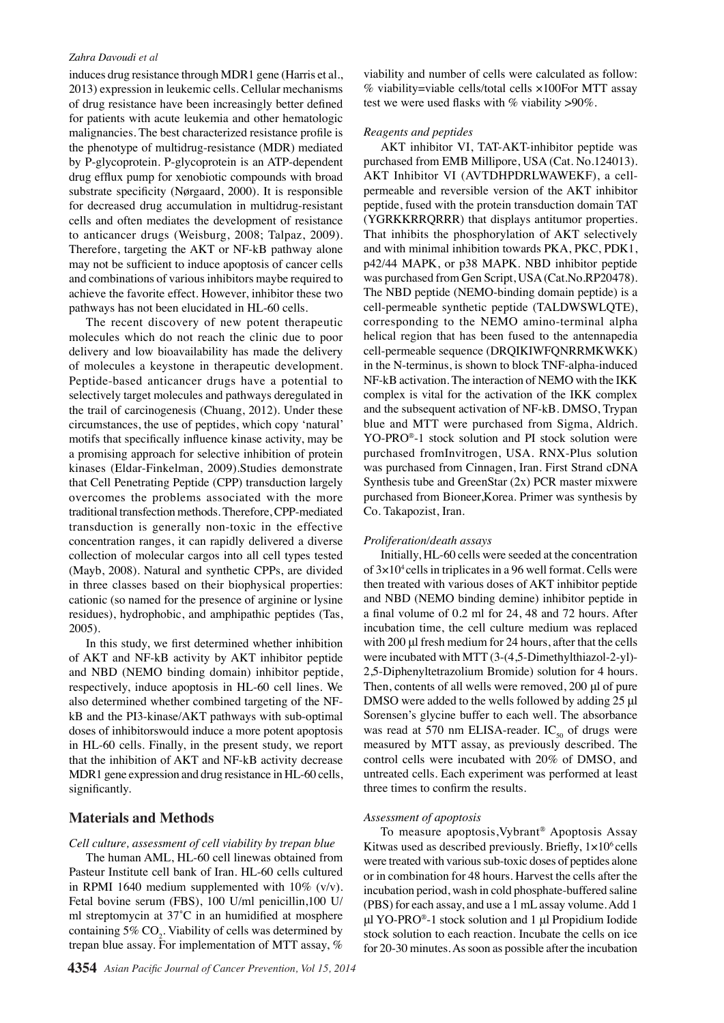#### *Zahra Davoudi et al*

induces drug resistance through MDR1 gene (Harris et al., 2013) expression in leukemic cells. Cellular mechanisms of drug resistance have been increasingly better defined for patients with acute leukemia and other hematologic malignancies. The best characterized resistance profile is the phenotype of multidrug-resistance (MDR) mediated by P-glycoprotein. P-glycoprotein is an ATP-dependent drug efflux pump for xenobiotic compounds with broad substrate specificity (Nørgaard, 2000). It is responsible for decreased drug accumulation in multidrug-resistant cells and often mediates the development of resistance to anticancer drugs (Weisburg, 2008; Talpaz, 2009). Therefore, targeting the AKT or NF-kB pathway alone may not be sufficient to induce apoptosis of cancer cells and combinations of various inhibitors maybe required to achieve the favorite effect. However, inhibitor these two pathways has not been elucidated in HL-60 cells.

The recent discovery of new potent therapeutic molecules which do not reach the clinic due to poor delivery and low bioavailability has made the delivery of molecules a keystone in therapeutic development. Peptide-based anticancer drugs have a potential to selectively target molecules and pathways deregulated in the trail of carcinogenesis (Chuang, 2012). Under these circumstances, the use of peptides, which copy 'natural' motifs that specifically influence kinase activity, may be a promising approach for selective inhibition of protein kinases (Eldar-Finkelman, 2009).Studies demonstrate that Cell Penetrating Peptide (CPP) transduction largely overcomes the problems associated with the more traditional transfection methods. Therefore, CPP-mediated transduction is generally non-toxic in the effective concentration ranges, it can rapidly delivered a diverse collection of molecular cargos into all cell types tested (Mayb, 2008). Natural and synthetic CPPs, are divided in three classes based on their biophysical properties: cationic (so named for the presence of arginine or lysine residues), hydrophobic, and amphipathic peptides (Tas, 2005).

In this study, we first determined whether inhibition of AKT and NF-kB activity by AKT inhibitor peptide and NBD (NEMO binding domain) inhibitor peptide, respectively, induce apoptosis in HL-60 cell lines. We also determined whether combined targeting of the NFkB and the PI3-kinase/AKT pathways with sub-optimal doses of inhibitorswould induce a more potent apoptosis in HL-60 cells. Finally, in the present study, we report that the inhibition of AKT and NF-kB activity decrease MDR1 gene expression and drug resistance in HL-60 cells, significantly.

#### **Materials and Methods**

#### *Cell culture, assessment of cell viability by trepan blue*

The human AML, HL-60 cell linewas obtained from Pasteur Institute cell bank of Iran. HL-60 cells cultured in RPMI 1640 medium supplemented with 10% (v/v). Fetal bovine serum (FBS), 100 U/ml penicillin,100 U/ ml streptomycin at 37˚C in an humidified at mosphere containing  $5\%$  CO<sub>2</sub>. Viability of cells was determined by trepan blue assay. For implementation of MTT assay, %

viability and number of cells were calculated as follow: % viability=viable cells/total cells ×100For MTT assay test we were used flasks with % viability  $>90\%$ .

#### *Reagents and peptides*

AKT inhibitor VI, TAT-AKT-inhibitor peptide was purchased from EMB Millipore, USA (Cat. No.124013). AKT Inhibitor VI (AVTDHPDRLWAWEKF), a cellpermeable and reversible version of the AKT inhibitor peptide, fused with the protein transduction domain TAT (YGRKKRRQRRR) that displays antitumor properties. That inhibits the phosphorylation of AKT selectively and with minimal inhibition towards PKA, PKC, PDK1, p42/44 MAPK, or p38 MAPK. NBD inhibitor peptide was purchased from Gen Script, USA (Cat.No.RP20478). The NBD peptide (NEMO-binding domain peptide) is a cell-permeable synthetic peptide (TALDWSWLQTE), corresponding to the NEMO amino-terminal alpha helical region that has been fused to the antennapedia cell-permeable sequence (DRQIKIWFQNRRMKWKK) in the N-terminus, is shown to block TNF-alpha-induced NF-kB activation. The interaction of NEMO with the IKK complex is vital for the activation of the IKK complex and the subsequent activation of NF-kB. DMSO, Trypan blue and MTT were purchased from Sigma, Aldrich. YO-PRO®-1 stock solution and PI stock solution were purchased fromInvitrogen, USA. RNX-Plus solution was purchased from Cinnagen, Iran. First Strand cDNA Synthesis tube and GreenStar (2x) PCR master mixwere purchased from Bioneer,Korea. Primer was synthesis by Co. Takapozist, Iran.

#### *Proliferation/death assays*

Initially, HL-60 cells were seeded at the concentration of  $3\times10^4$  cells in triplicates in a 96 well format. Cells were then treated with various doses of AKT inhibitor peptide and NBD (NEMO binding demine) inhibitor peptide in a final volume of 0.2 ml for 24, 48 and 72 hours. After incubation time, the cell culture medium was replaced with 200 μl fresh medium for 24 hours, after that the cells were incubated with MTT (3-(4,5-Dimethylthiazol-2-yl)- 2,5-Diphenyltetrazolium Bromide) solution for 4 hours. Then, contents of all wells were removed, 200 μl of pure DMSO were added to the wells followed by adding 25 μl Sorensen's glycine buffer to each well. The absorbance was read at 570 nm ELISA-reader.  $IC_{50}$  of drugs were measured by MTT assay, as previously described. The control cells were incubated with 20% of DMSO, and untreated cells. Each experiment was performed at least three times to confirm the results.

#### *Assessment of apoptosis*

To measure apoptosis,Vybrant® Apoptosis Assay Kitwas used as described previously. Briefly,  $1 \times 10^6$  cells were treated with various sub-toxic doses of peptides alone or in combination for 48 hours. Harvest the cells after the incubation period, wash in cold phosphate-buffered saline (PBS) for each assay, and use a 1 mL assay volume. Add 1 μl YO-PRO®-1 stock solution and 1 μl Propidium Iodide stock solution to each reaction. Incubate the cells on ice for 20-30 minutes. As soon as possible after the incubation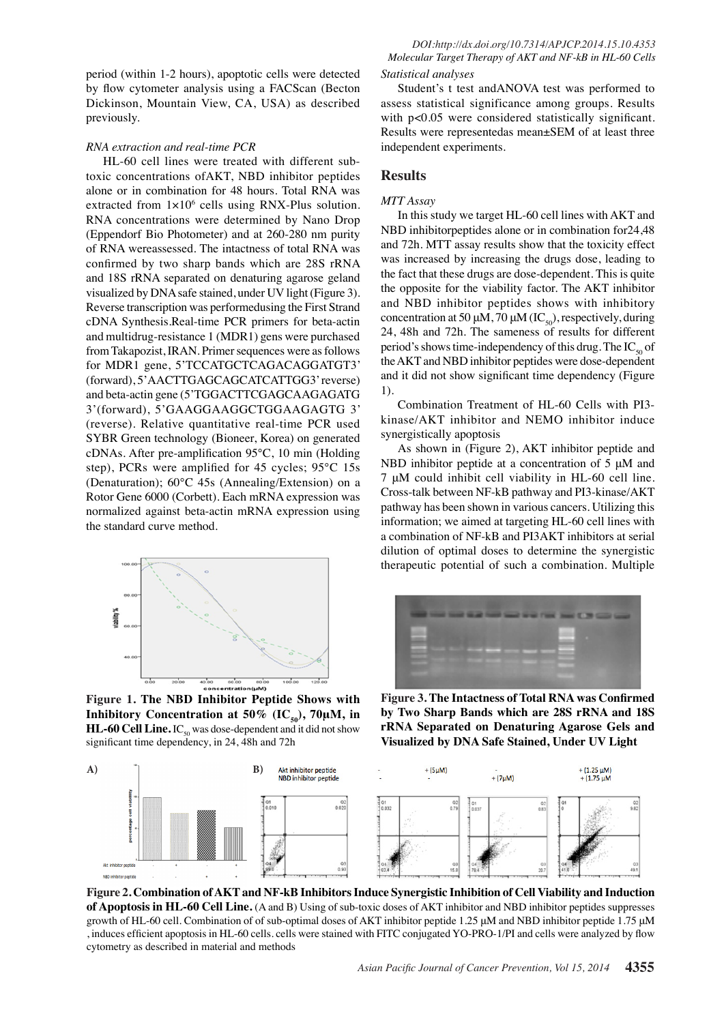period (within 1-2 hours), apoptotic cells were detected by flow cytometer analysis using a FACScan (Becton Dickinson, Mountain View, CA, USA) as described previously.

#### *RNA extraction and real-time PCR*

HL-60 cell lines were treated with different subtoxic concentrations ofAKT, NBD inhibitor peptides alone or in combination for 48 hours. Total RNA was extracted from  $1 \times 10^6$  cells using RNX-Plus solution. RNA concentrations were determined by Nano Drop (Eppendorf Bio Photometer) and at 260-280 nm purity of RNA wereassessed. The intactness of total RNA was confirmed by two sharp bands which are 28S rRNA and 18S rRNA separated on denaturing agarose geland visualized by DNA safe stained, under UV light (Figure 3). Reverse transcription was performedusing the First Strand cDNA Synthesis.Real-time PCR primers for beta-actin and multidrug-resistance 1 (MDR1) gens were purchased from Takapozist, IRAN. Primer sequences were as follows for MDR1 gene, 5'TCCATGCTCAGACAGGATGT3' (forward), 5'AACTTGAGCAGCATCATTGG3' reverse) and beta-actin gene (5'TGGACTTCGAGCAAGAGATG 3'(forward), 5'GAAGGAAGGCTGGAAGAGTG 3' (reverse). Relative quantitative real-time PCR used SYBR Green technology (Bioneer, Korea) on generated cDNAs. After pre-amplification 95°C, 10 min (Holding step), PCRs were amplified for 45 cycles; 95°C 15s (Denaturation); 60°C 45s (Annealing/Extension) on a Rotor Gene 6000 (Corbett). Each mRNA expression was normalized against beta-actin mRNA expression using the standard curve method.



**Figure 1. The NBD Inhibitor Peptide Shows with Inhibitory Concentration at 50% (IC<sub>50</sub>), 70μM, in HL-60 Cell Line.**  $IC_{50}$  was dose-dependent and it did not show significant time dependency, in 24, 48h and 72h

#### *Statistical analyses*

Student's t test andANOVA test was performed to assess statistical significance among groups. Results with  $p<0.05$  were considered statistically significant. Results were representedas mean±SEM of at least three independent experiments.

#### **Results**

#### *MTT Assay*

In this study we target HL-60 cell lines with AKT and NBD inhibitorpeptides alone or in combination for24,48 and 72h. MTT assay results show that the toxicity effect was increased by increasing the drugs dose, leading to the fact that these drugs are dose-dependent. This is quite the opposite for the viability factor. The AKT inhibitor and NBD inhibitor peptides shows with inhibitory concentration at 50 μM, 70 μM (IC<sub>50</sub>), respectively, during 24, 48h and 72h. The sameness of results for different period's shows time-independency of this drug. The  $IC_{50}$  of the AKT and NBD inhibitor peptides were dose-dependent and it did not show significant time dependency (Figure 1).

Combination Treatment of HL-60 Cells with PI3 kinase/AKT inhibitor and NEMO inhibitor induce synergistically apoptosis

As shown in (Figure 2), AKT inhibitor peptide and NBD inhibitor peptide at a concentration of 5 μM and 7 μM could inhibit cell viability in HL-60 cell line. Cross-talk between NF-kB pathway and PI3-kinase/AKT pathway has been shown in various cancers. Utilizing this information; we aimed at targeting HL-60 cell lines with a combination of NF-kB and PI3AKT inhibitors at serial dilution of optimal doses to determine the synergistic therapeutic potential of such a combination. Multiple



**Figure 3. The Intactness of Total RNA was Confirmed by Two Sharp Bands which are 28S rRNA and 18S rRNA Separated on Denaturing Agarose Gels and Visualized by DNA Safe Stained, Under UV Light**



**Figure 2. Combination of AKT and NF-kB Inhibitors Induce Synergistic Inhibition of Cell Viability and Induction of Apoptosis in HL-60 Cell Line.** (A and B) Using of sub-toxic doses of AKT inhibitor and NBD inhibitor peptides suppresses growth of HL-60 cell. Combination of of sub-optimal doses of AKT inhibitor peptide 1.25 μM and NBD inhibitor peptide 1.75 μM , induces efficient apoptosis in HL-60 cells. cells were stained with FITC conjugated YO-PRO-1/PI and cells were analyzed by flow cytometry as described in material and methods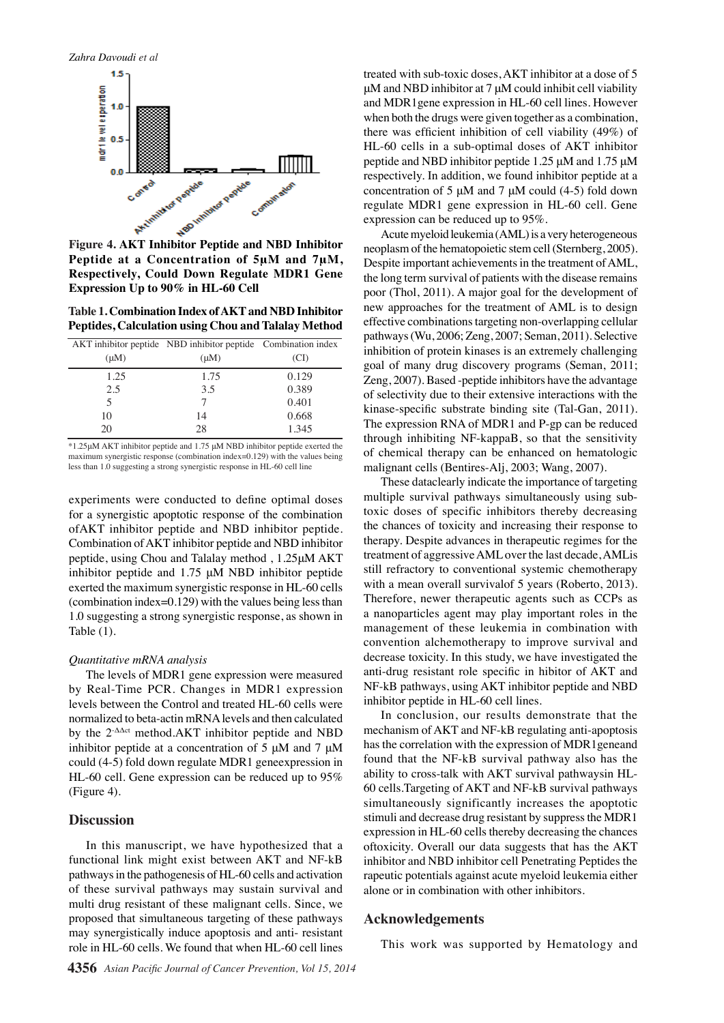

**Peptide at a Concentration of 5μM and 7μM, Respectively, Could Down Regulate MDR1 Gene Expression Up to 90% in HL-60 Cell**

**Table 1. Combination Index of AKT and NBD Inhibitor Peptides, Calculation using Chou and Talalay Method**

| $(\mu M)$ | AKT inhibitor peptide NBD inhibitor peptide Combination index<br>$(\mu M)$ | (CI)  |
|-----------|----------------------------------------------------------------------------|-------|
| 1.25      | 1.75                                                                       | 0.129 |
| 2.5       | 3.5                                                                        | 0.389 |
| 5         |                                                                            | 0.401 |
| 10        | 14                                                                         | 0.668 |
| 20        | 28                                                                         | 1.345 |

\*1.25μM AKT inhibitor peptide and 1.75 μM NBD inhibitor peptide exerted the maximum synergistic response (combination index=0.129) with the values being less than 1.0 suggesting a strong synergistic response in HL-60 cell line

experiments were conducted to define optimal doses for a synergistic apoptotic response of the combination ofAKT inhibitor peptide and NBD inhibitor peptide. Combination of AKT inhibitor peptide and NBD inhibitor peptide, using Chou and Talalay method , 1.25μM AKT inhibitor peptide and 1.75 μM NBD inhibitor peptide exerted the maximum synergistic response in HL-60 cells (combination index=0.129) with the values being less than 1.0 suggesting a strong synergistic response, as shown in Table (1).

#### *Quantitative mRNA analysis*

The levels of MDR1 gene expression were measured by Real-Time PCR. Changes in MDR1 expression levels between the Control and treated HL-60 cells were normalized to beta-actin mRNA levels and then calculated by the 2-ΔΔct method.AKT inhibitor peptide and NBD inhibitor peptide at a concentration of 5 μM and 7 μM could (4-5) fold down regulate MDR1 geneexpression in HL-60 cell. Gene expression can be reduced up to 95% (Figure 4).

#### **Discussion**

In this manuscript, we have hypothesized that a functional link might exist between AKT and NF-kB pathways in the pathogenesis of HL-60 cells and activation of these survival pathways may sustain survival and multi drug resistant of these malignant cells. Since, we proposed that simultaneous targeting of these pathways may synergistically induce apoptosis and anti- resistant role in HL-60 cells. We found that when HL-60 cell lines

treated with sub-toxic doses, AKT inhibitor at a dose of 5 μM and NBD inhibitor at 7 μM could inhibit cell viability and MDR1gene expression in HL-60 cell lines. However when both the drugs were given together as a combination, there was efficient inhibition of cell viability (49%) of HL-60 cells in a sub-optimal doses of AKT inhibitor peptide and NBD inhibitor peptide 1.25 μM and 1.75 μM respectively. In addition, we found inhibitor peptide at a concentration of 5  $\mu$ M and 7  $\mu$ M could (4-5) fold down regulate MDR1 gene expression in HL-60 cell. Gene expression can be reduced up to 95%.

Acute myeloid leukemia (AML) is a very heterogeneous neoplasm of the hematopoietic stem cell (Sternberg, 2005). Despite important achievements in the treatment of AML, the long term survival of patients with the disease remains poor (Thol, 2011). A major goal for the development of new approaches for the treatment of AML is to design effective combinations targeting non-overlapping cellular pathways (Wu, 2006; Zeng, 2007; Seman, 2011). Selective inhibition of protein kinases is an extremely challenging goal of many drug discovery programs (Seman, 2011; Zeng, 2007). Based -peptide inhibitors have the advantage of selectivity due to their extensive interactions with the kinase-specific substrate binding site (Tal-Gan, 2011). The expression RNA of MDR1 and P-gp can be reduced through inhibiting NF-kappaB, so that the sensitivity of chemical therapy can be enhanced on hematologic malignant cells (Bentires-Alj, 2003; Wang, 2007).

These dataclearly indicate the importance of targeting multiple survival pathways simultaneously using subtoxic doses of specific inhibitors thereby decreasing the chances of toxicity and increasing their response to therapy. Despite advances in therapeutic regimes for the treatment of aggressive AML over the last decade, AMLis still refractory to conventional systemic chemotherapy with a mean overall survivalof 5 years (Roberto, 2013). Therefore, newer therapeutic agents such as CCPs as a nanoparticles agent may play important roles in the management of these leukemia in combination with convention alchemotherapy to improve survival and decrease toxicity. In this study, we have investigated the anti-drug resistant role specific in hibitor of AKT and NF-kB pathways, using AKT inhibitor peptide and NBD inhibitor peptide in HL-60 cell lines.

In conclusion, our results demonstrate that the mechanism of AKT and NF-kB regulating anti-apoptosis has the correlation with the expression of MDR1geneand found that the NF-kB survival pathway also has the ability to cross-talk with AKT survival pathwaysin HL-60 cells.Targeting of AKT and NF-kB survival pathways simultaneously significantly increases the apoptotic stimuli and decrease drug resistant by suppress the MDR1 expression in HL-60 cells thereby decreasing the chances oftoxicity. Overall our data suggests that has the AKT inhibitor and NBD inhibitor cell Penetrating Peptides the rapeutic potentials against acute myeloid leukemia either alone or in combination with other inhibitors.

#### **Acknowledgements**

This work was supported by Hematology and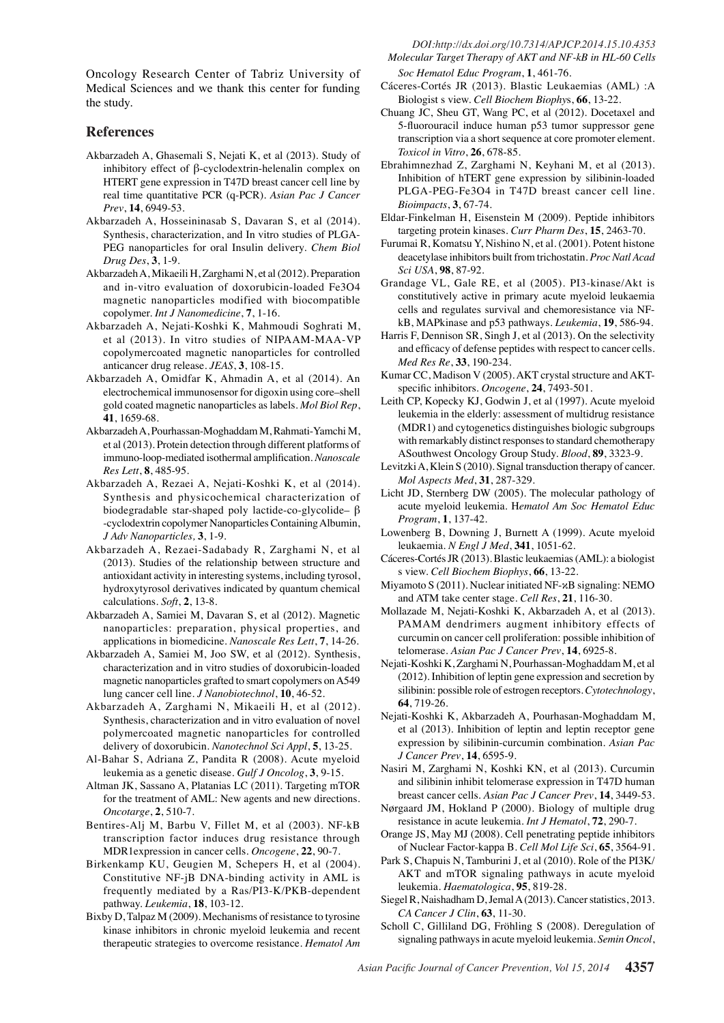None

0

0

Medical Sciences and we thank this center for funding the study.

### **References**

- Oncology Research Center of Tabriz University of<br>
Medical Sciences and we thank this center for funding<br>
Medical Sciences and we thank this center for funding<br>
Hostovicell Theorem Biggists view. Cell Binchestants (AML) :A<br> Akbarzadeh A, Ghasemali S, Nejati K, et al (2013). Study of inhibitory effect of β-cyclodextrin-helenalin complex on HTERT gene expression in T47D breast cancer cell line by real time quantitative PCR (q-PCR). *Asian Pac J Cancer Prev*, **14**, 6949-53.
- Synthesis, characterization, and In vitro studies of PLGA-PEG nanoparticles for oral Insulin delivery. *Chem Biol Drug Des*, **3**, 1-9.
- Akbarzadeh A, Mikaeili H, Zarghami N, et al (2012). Preparation<sup>75.0</sup> and in-vitro evaluation of doxorubicin-loaded Fe3O4 magnetic nanoparticles modified with biocompatible copolymer. *Int J Nanomedicine*, **7**, 1-16.
- 25.0 50.0 Akbarzadeh A, Nejati-Koshki K, Mahmoudi Soghrati M, et al (2013). In vitro studies of NIPAAM-MAA-VP copolymercoated magnetic nanoparticles for controlled anticancer drug release. *JEAS*, **3**, 108-15.
- electrochemical immunosensor for digoxin using core–shell gold coated magnetic nanoparticles as labels. *Mol Biol Rep*, **41**, 1659-68.
- Akbarzadeh A, Pourhassan-Moghaddam M, Rahmati-Yamchi M, et al (2013). Protein detection through different platforms of immuno-loop-mediated isothermal amplification. *Nanoscale Res Lett*, **8**, 485-95.
- Akbarzadeh A, Rezaei A, Nejati-Koshki K, et al (2014). Synthesis and physicochemical characterization of biodegradable star-shaped poly lactide-co-glycolide– β -cyclodextrin copolymer Nanoparticles Containing Albumin, *J Adv Nanoparticles,* **3**, 1-9.
- Akbarzadeh A, Rezaei-Sadabady R, Zarghami N, et al (2013). Studies of the relationship between structure and antioxidant activity in interesting systems, including tyrosol, hydroxytyrosol derivatives indicated by quantum chemical calculations. *Soft*, **2**, 13-8.
- Akbarzadeh A, Samiei M, Davaran S, et al (2012). Magnetic nanoparticles: preparation, physical properties, and applications in biomedicine. *Nanoscale Res Lett*, **7**, 14-26.
- Akbarzadeh A, Samiei M, Joo SW, et al (2012). Synthesis, characterization and in vitro studies of doxorubicin-loaded magnetic nanoparticles grafted to smart copolymers on A549 lung cancer cell line. *J Nanobiotechnol*, **10**, 46-52.
- Akbarzadeh A, Zarghami N, Mikaeili H, et al (2012). Synthesis, characterization and in vitro evaluation of novel polymercoated magnetic nanoparticles for controlled delivery of doxorubicin. *Nanotechnol Sci Appl*, **5**, 13-25.
- Al-Bahar S, Adriana Z, Pandita R (2008). Acute myeloid leukemia as a genetic disease. *Gulf J Oncolog*, **3**, 9-15.
- Altman JK, Sassano A, Platanias LC (2011). Targeting mTOR for the treatment of AML: New agents and new directions. *Oncotarge*, **2**, 510-7.
- Bentires-Alj M, Barbu V, Fillet M, et al (2003). NF-kB transcription factor induces drug resistance through MDR1expression in cancer cells. *Oncogene*, **22**, 90-7.
- Birkenkamp KU, Geugien M, Schepers H, et al (2004). Constitutive NF-jB DNA-binding activity in AML is frequently mediated by a Ras/PI3-K/PKB-dependent pathway. *Leukemia*, **18**, 103-12.
- Bixby D, Talpaz M (2009). Mechanisms of resistance to tyrosine kinase inhibitors in chronic myeloid leukemia and recent therapeutic strategies to overcome resistance. *Hematol Am*

*Soc Hematol Educ Program*, **1**, 461-76.

- Cáceres-Cortés JR (2013). Blastic Leukaemias (AML) :A Biologist s view. *Cell Biochem Biophy*s, **66**, 13-22.
- Chuang JC, Sheu GT, Wang PC, et al (2012). Docetaxel and 5-fluorouracil induce human p53 tumor suppressor gene transcription via a short sequence at core promoter element. *Toxicol in Vitro*, **26**, 678-85.
- Ebrahimnezhad Z, Zarghami N, Keyhani M, et al (2013). Inhibition of hTERT gene expression by silibinin-loaded PLGA-PEG-Fe3O4 in T47D breast cancer cell line. *Bioimpacts*, **3**, 67-74.
- Akbarzadeh A, Hosseininasab S, Davaran S, et al (2014). OD. Eldar-Finkelman H, Eisenstein M (2009). Peptide inhibitor 10.0 targeting protein kinases. *Curr Pharm Des*, **15**, 2463-70.
	- **20.3 6.3 10.1** Furumai R, Komatsu Y, Nishino N, et al. (2001). Potent histone deacetylase inhibitors built from trichostatin. *Proc Natl Acad* 
		- **25.0** 75.80.0 *Sci USA*, **98**, 87-92.
	- cells and regulates survival and chemoresistance via NF-<br>kB, MAPkinase and p53 pathways. Leu<u>sens</u>ia, 19, 586-94.**50.0**<br>six E. Dansleys SD, Sixels L. (4.1.2012). Or the exterimity. 1 **30.0** constitutively actions in primary acute myeloid leukaemia Grandage VL, Gale RE, et al  $(2005)$ . PI3-kinase/Akt is kB, MAPkinase and p53 pathways. *Leukemia*, **19**, 586-94.
	- Harris F, Dennison SR, Singh J, et al  $(2018)$ . On the selectivity and efficacy of defense peptides with respect to cancer cells. *Med Res Re*, **33**, 190-234.
- **25.00 <b>23.1 20.0 23.1 23.0 23.0 23.0 23.1 23.1 23.1 23.1 23.1 23.1 23.1 23.1 25.1 25.1 25.1 25.1 25.1 25.1 25.1 25.1 25.1 25.1 25.1 25.1 25.1 25.1 25.1 25.1 25.1 38.0 38.0** anucancer drug release. JEAS, 3, 108-15.<br>Akbarzadeh A, Omidfar K, Ahmadin A, et al (2014). An 25.0 Kumar CC, Madison V (2005) AKT crystal structure and AKT-25.0 Kumar CC, Madison V (2005). AKT crystal structure and AKTspeci**fit B**ihibitors. *Oncogene*, 24, 74933103.
	- 0 leukemia in the elderly: assessment of multidrug resistance
	- Remission (MDR1) and cytogenetics distinguishes biologic subgroups with remarkably diffinct responses to standard chemotherapy ASoutlavest Oncology Group Study. *Blood*, 89, 3323-9.
	- Levitzki A, $\mathbb{R}$ lein S (20 $\mathbb{D}$ ). Signal transduction  $\mathbb{R}$  herapy of cancer. *Mol Aspects Med*, **31**, 287-329.
	- Newly diagnosed without treatment New York of the diagnosed with the diagnosed with the diagnosed with the diagnosed with the diagnosed with the diagnosed with the diagnosed with the diagnosed with the diagnosed with the diagnosed with the diagnosed with t Persistence or recurrence Licht JD,  $\frac{1}{2}$ ernberg DW (2005). The molecular pathology of acute myeloid leukemia. H*ematol Am Soc Hematol Educ Program*, **1**, 137-42.
	- Lowenberg B, Downing J, Burnat A (1999). Acute myeloid leukaemia. *N Engloj Med*, 341, 1051-62.
	- Cáceres-Cdtés JR (20毫). Blastic leukaemias (AML): a biologist s view. *Cell Biochem Biophys*, **66**, 13-22.
	- Miyamoto  $\bar{\mathbf{\mathcal{B}}}$  (2011). Nuclear initiated NF- $\alpha$ B signaling: NEMO and ATM take center stage. *Cell Res*, **21**, 116-30.
	- Mollazade M, Nejati-Koshki K, Akbarzadeh A, et al (2013). PAMAM dendrimers augment inhibitory effects of curcumin on cancer cell proliferation: possible inhibition of telomerase. *Asian Pac J Cancer Prev*, **14**, 6925-8.
	- Nejati-Koshki K, Zarghami N, Pourhassan-Moghaddam M, et al (2012). Inhibition of leptin gene expression and secretion by silibinin: possible role of estrogen receptors. *Cytotechnology*, **64**, 719-26.
	- Nejati-Koshki K, Akbarzadeh A, Pourhasan-Moghaddam M, et al (2013). Inhibition of leptin and leptin receptor gene expression by silibinin-curcumin combination. *Asian Pac J Cancer Prev*, **14**, 6595-9.
	- Nasiri M, Zarghami N, Koshki KN, et al (2013). Curcumin and silibinin inhibit telomerase expression in T47D human breast cancer cells. *Asian Pac J Cancer Prev*, **14**, 3449-53.
	- Nørgaard JM, Hokland P (2000). Biology of multiple drug resistance in acute leukemia. *Int J Hematol*, **72**, 290-7.
	- Orange JS, May MJ (2008). Cell penetrating peptide inhibitors of Nuclear Factor-kappa B. *Cell Mol Life Sci*, **65**, 3564-91.
	- Park S, Chapuis N, Tamburini J, et al (2010). Role of the PI3K/ AKT and mTOR signaling pathways in acute myeloid leukemia. *Haematologica*, **95**, 819-28.
	- Siegel R, Naishadham D, Jemal A (2013). Cancer statistics, 2013. *CA Cancer J Clin*, **63**, 11-30.
	- Scholl C, Gilliland DG, Fröhling S (2008). Deregulation of signaling pathways in acute myeloid leukemia. *Semin Oncol*,

**38.0 31.3**

**12.8**

**20.3 6.3 10.1**